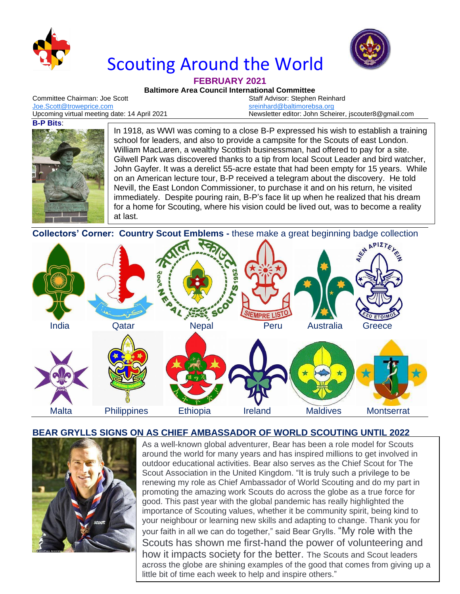

# Scouting Around the World



#### **FEBRUARY 2021**

**Baltimore Area Council International Committee**

Committee Chairman: Joe Scott Staff Advisor: Stephen Reinhard [Joe.Scott@troweprice.com](mailto:Joe.Scott@troweprice.com) [sreinhard@baltimorebsa.org](mailto:sreinhard@baltimorebsa.org)

Upcoming virtual meeting date: 14 April 2021 Newsletter editor: John Scheirer, jscouter8@gmail.com

#### **B-P Bits**:



In 1918, as WWI was coming to a close B-P expressed his wish to establish a training school for leaders, and also to provide a campsite for the Scouts of east London. William MacLaren, a wealthy Scottish businessman, had offered to pay for a site. Gilwell Park was discovered thanks to a tip from local Scout Leader and bird watcher, John Gayfer. It was a derelict 55-acre estate that had been empty for 15 years. While on an American lecture tour, B-P received a telegram about the discovery. He told Nevill, the East London Commissioner, to purchase it and on his return, he visited immediately. Despite pouring rain, B-P's face lit up when he realized that his dream for a home for Scouting, where his vision could be lived out, was to become a reality at last.

**Collectors' Corner: Country Scout Emblems -** these make a great beginning badge collection



### **BEAR GRYLLS SIGNS ON AS CHIEF AMBASSADOR OF WORLD SCOUTING UNTIL 2022**



As a well-known global adventurer, Bear has been a role model for Scouts around the world for many years and has inspired millions to get involved in outdoor educational activities. Bear also serves as the Chief Scout for The Scout Association in the United Kingdom. "It is truly such a privilege to be renewing my role as Chief Ambassador of World Scouting and do my part in promoting the amazing work Scouts do across the globe as a true force for good. This past year with the global pandemic has really highlighted the importance of Scouting values, whether it be community spirit, being kind to your neighbour or learning new skills and adapting to change. Thank you for your faith in all we can do together," said Bear Grylls. "My role with the Scouts has shown me first-hand the power of volunteering and how it impacts society for the better. The Scouts and Scout leaders across the globe are shining examples of the good that comes from giving up a little bit of time each week to help and inspire others."